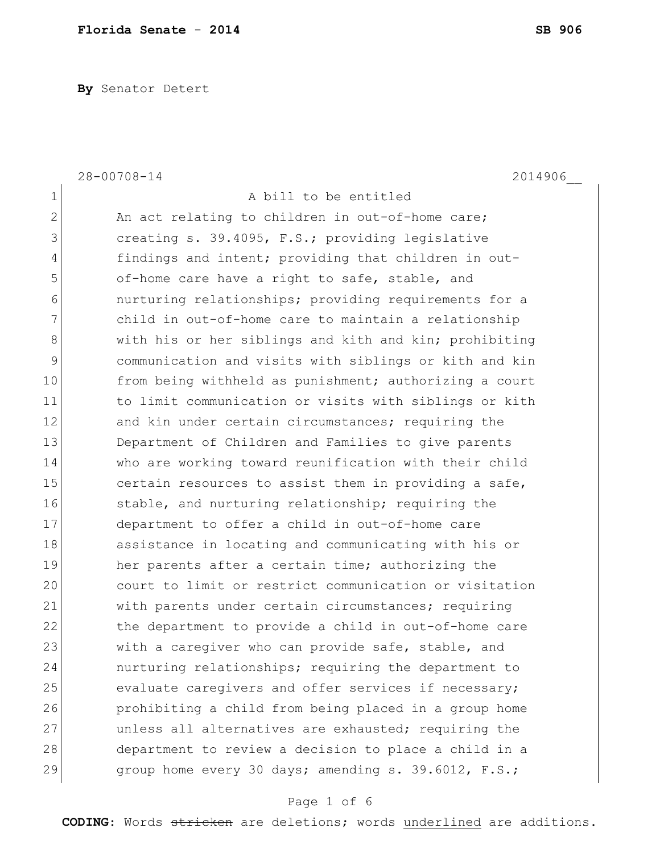**By** Senator Detert

|                | $28 - 00708 - 14$<br>2014906                           |
|----------------|--------------------------------------------------------|
| $\mathbf 1$    | A bill to be entitled                                  |
| $\overline{2}$ | An act relating to children in out-of-home care;       |
| 3              | creating s. 39.4095, F.S.; providing legislative       |
| 4              | findings and intent; providing that children in out-   |
| 5              | of-home care have a right to safe, stable, and         |
| 6              | nurturing relationships; providing requirements for a  |
| 7              | child in out-of-home care to maintain a relationship   |
| 8              | with his or her siblings and kith and kin; prohibiting |
| 9              | communication and visits with siblings or kith and kin |
| 10             | from being withheld as punishment; authorizing a court |
| 11             | to limit communication or visits with siblings or kith |
| 12             | and kin under certain circumstances; requiring the     |
| 13             | Department of Children and Families to give parents    |
| 14             | who are working toward reunification with their child  |
| 15             | certain resources to assist them in providing a safe,  |
| 16             | stable, and nurturing relationship; requiring the      |
| 17             | department to offer a child in out-of-home care        |
| 18             | assistance in locating and communicating with his or   |
| 19             | her parents after a certain time; authorizing the      |
| 20             | court to limit or restrict communication or visitation |
| 21             | with parents under certain circumstances; requiring    |
| 22             | the department to provide a child in out-of-home care  |
| 23             | with a caregiver who can provide safe, stable, and     |
| 24             | nurturing relationships; requiring the department to   |
| 25             | evaluate caregivers and offer services if necessary;   |
| 26             | prohibiting a child from being placed in a group home  |
| 27             | unless all alternatives are exhausted; requiring the   |
| 28             | department to review a decision to place a child in a  |
| 29             | group home every 30 days; amending s. 39.6012, F.S.;   |

# Page 1 of 6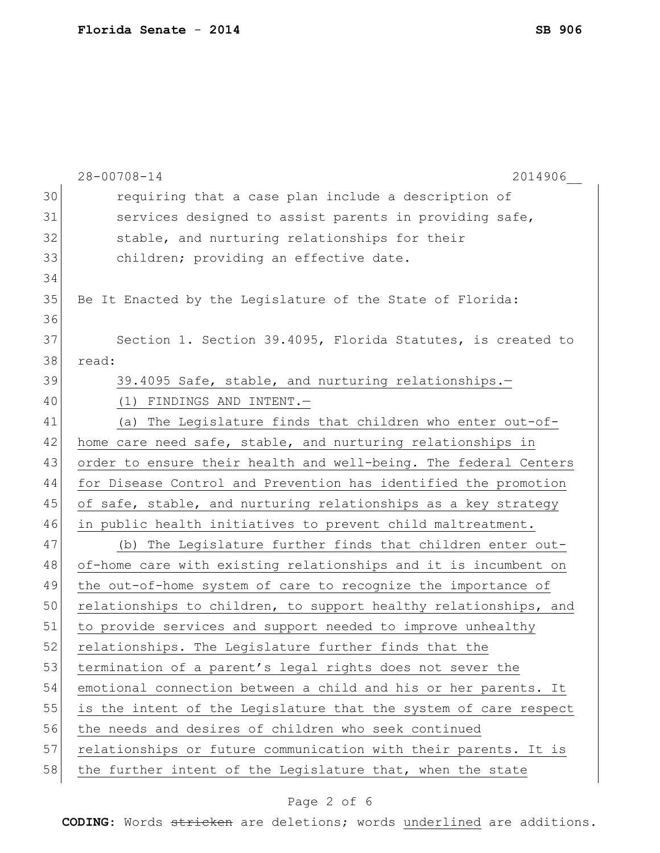|    | $28 - 00708 - 14$<br>2014906                                     |
|----|------------------------------------------------------------------|
| 30 | requiring that a case plan include a description of              |
| 31 | services designed to assist parents in providing safe,           |
| 32 | stable, and nurturing relationships for their                    |
| 33 | children; providing an effective date.                           |
| 34 |                                                                  |
| 35 | Be It Enacted by the Legislature of the State of Florida:        |
| 36 |                                                                  |
| 37 | Section 1. Section 39.4095, Florida Statutes, is created to      |
| 38 | read:                                                            |
| 39 | 39.4095 Safe, stable, and nurturing relationships.-              |
| 40 | (1) FINDINGS AND INTENT.-                                        |
| 41 | (a) The Legislature finds that children who enter out-of-        |
| 42 | home care need safe, stable, and nurturing relationships in      |
| 43 | order to ensure their health and well-being. The federal Centers |
| 44 | for Disease Control and Prevention has identified the promotion  |
| 45 | of safe, stable, and nurturing relationships as a key strategy   |
| 46 | in public health initiatives to prevent child maltreatment.      |
| 47 | (b) The Legislature further finds that children enter out-       |
| 48 | of-home care with existing relationships and it is incumbent on  |
| 49 | the out-of-home system of care to recognize the importance of    |
| 50 | relationships to children, to support healthy relationships, and |
| 51 | to provide services and support needed to improve unhealthy      |
| 52 | relationships. The Legislature further finds that the            |
| 53 | termination of a parent's legal rights does not sever the        |
| 54 | emotional connection between a child and his or her parents. It  |
| 55 | is the intent of the Legislature that the system of care respect |
| 56 | the needs and desires of children who seek continued             |
| 57 | relationships or future communication with their parents. It is  |
| 58 | the further intent of the Legislature that, when the state       |

# Page 2 of 6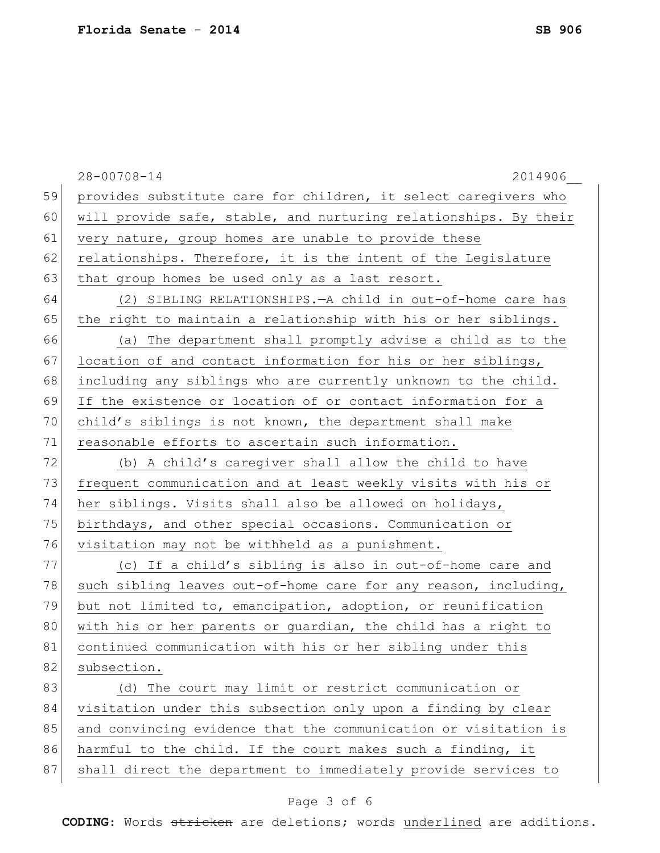|    | $28 - 00708 - 14$<br>2014906                                     |
|----|------------------------------------------------------------------|
| 59 | provides substitute care for children, it select caregivers who  |
| 60 | will provide safe, stable, and nurturing relationships. By their |
| 61 | very nature, group homes are unable to provide these             |
| 62 | relationships. Therefore, it is the intent of the Legislature    |
| 63 | that group homes be used only as a last resort.                  |
| 64 | (2) SIBLING RELATIONSHIPS. - A child in out-of-home care has     |
| 65 | the right to maintain a relationship with his or her siblings.   |
| 66 | (a) The department shall promptly advise a child as to the       |
| 67 | location of and contact information for his or her siblings,     |
| 68 | including any siblings who are currently unknown to the child.   |
| 69 | If the existence or location of or contact information for a     |
| 70 | child's siblings is not known, the department shall make         |
| 71 | reasonable efforts to ascertain such information.                |
| 72 | (b) A child's caregiver shall allow the child to have            |
| 73 | frequent communication and at least weekly visits with his or    |
| 74 | her siblings. Visits shall also be allowed on holidays,          |
| 75 | birthdays, and other special occasions. Communication or         |
| 76 | visitation may not be withheld as a punishment.                  |
| 77 | (c) If a child's sibling is also in out-of-home care and         |
| 78 | such sibling leaves out-of-home care for any reason, including,  |
| 79 | but not limited to, emancipation, adoption, or reunification     |
| 80 | with his or her parents or guardian, the child has a right to    |
| 81 | continued communication with his or her sibling under this       |
| 82 | subsection.                                                      |
| 83 | (d) The court may limit or restrict communication or             |
| 84 | visitation under this subsection only upon a finding by clear    |
| 85 | and convincing evidence that the communication or visitation is  |
| 86 | harmful to the child. If the court makes such a finding, it      |
| 87 | shall direct the department to immediately provide services to   |
|    |                                                                  |

# Page 3 of 6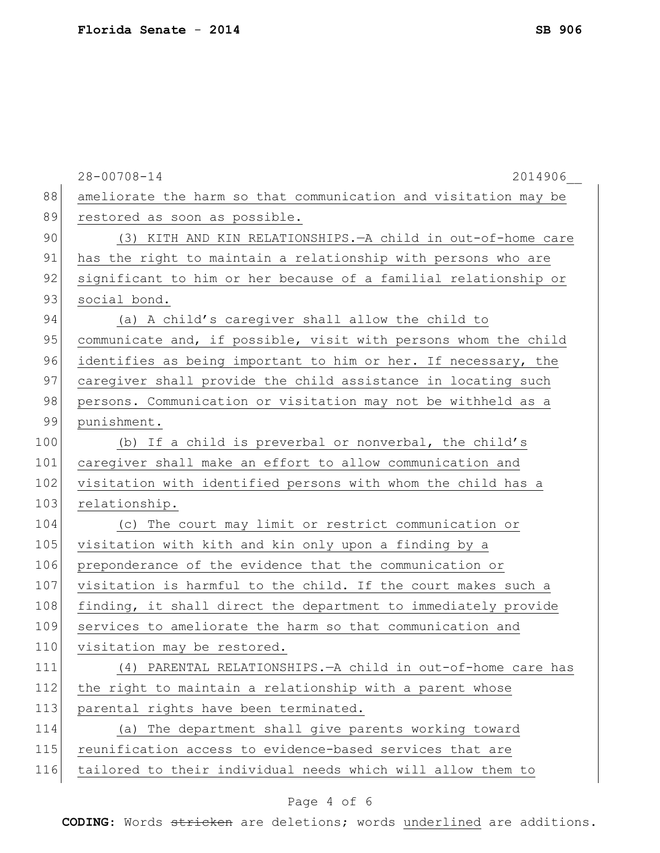|     | $28 - 00708 - 14$<br>2014906                                     |
|-----|------------------------------------------------------------------|
| 88  | ameliorate the harm so that communication and visitation may be  |
| 89  | restored as soon as possible.                                    |
| 90  | (3) KITH AND KIN RELATIONSHIPS. - A child in out-of-home care    |
| 91  | has the right to maintain a relationship with persons who are    |
| 92  | significant to him or her because of a familial relationship or  |
| 93  | social bond.                                                     |
| 94  | (a) A child's caregiver shall allow the child to                 |
| 95  | communicate and, if possible, visit with persons whom the child  |
| 96  | identifies as being important to him or her. If necessary, the   |
| 97  | caregiver shall provide the child assistance in locating such    |
| 98  | persons. Communication or visitation may not be withheld as a    |
| 99  | punishment.                                                      |
| 100 | (b) If a child is preverbal or nonverbal, the child's            |
| 101 | caregiver shall make an effort to allow communication and        |
| 102 | visitation with identified persons with whom the child has a     |
| 103 | relationship.                                                    |
| 104 | (c) The court may limit or restrict communication or             |
| 105 | visitation with kith and kin only upon a finding by a            |
| 106 | preponderance of the evidence that the communication or          |
| 107 | visitation is harmful to the child. If the court makes such a    |
| 108 | finding, it shall direct the department to immediately provide   |
| 109 | services to ameliorate the harm so that communication and        |
| 110 | visitation may be restored.                                      |
| 111 | $(4)$ PARENTAL RELATIONSHIPS. $-A$ child in out-of-home care has |
| 112 | the right to maintain a relationship with a parent whose         |
| 113 | parental rights have been terminated.                            |
| 114 | (a) The department shall give parents working toward             |
| 115 | reunification access to evidence-based services that are         |
| 116 | tailored to their individual needs which will allow them to      |
|     |                                                                  |

# Page 4 of 6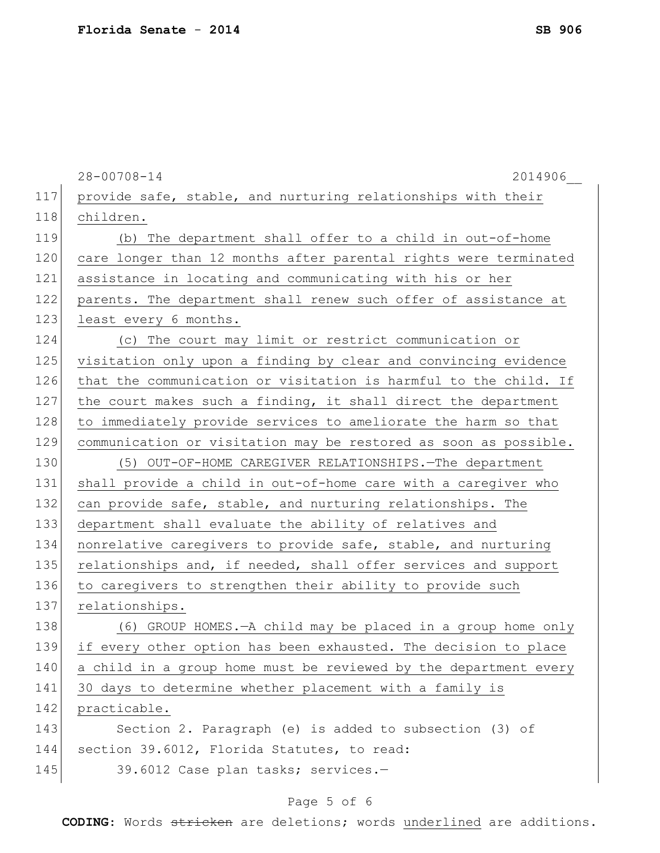|     | $28 - 00708 - 14$<br>2014906                                     |
|-----|------------------------------------------------------------------|
| 117 | provide safe, stable, and nurturing relationships with their     |
| 118 | children.                                                        |
| 119 | (b) The department shall offer to a child in out-of-home         |
| 120 | care longer than 12 months after parental rights were terminated |
| 121 | assistance in locating and communicating with his or her         |
| 122 | parents. The department shall renew such offer of assistance at  |
| 123 | least every 6 months.                                            |
| 124 | (c) The court may limit or restrict communication or             |
| 125 | visitation only upon a finding by clear and convincing evidence  |
| 126 | that the communication or visitation is harmful to the child. If |
| 127 | the court makes such a finding, it shall direct the department   |
| 128 | to immediately provide services to ameliorate the harm so that   |
| 129 | communication or visitation may be restored as soon as possible. |
| 130 | (5) OUT-OF-HOME CAREGIVER RELATIONSHIPS. The department          |
| 131 | shall provide a child in out-of-home care with a caregiver who   |
| 132 | can provide safe, stable, and nurturing relationships. The       |
| 133 | department shall evaluate the ability of relatives and           |
| 134 | nonrelative caregivers to provide safe, stable, and nurturing    |
| 135 | relationships and, if needed, shall offer services and support   |
| 136 | to caregivers to strengthen their ability to provide such        |
| 137 | relationships.                                                   |
| 138 | (6) GROUP HOMES. - A child may be placed in a group home only    |
| 139 | if every other option has been exhausted. The decision to place  |
| 140 | a child in a group home must be reviewed by the department every |
| 141 | 30 days to determine whether placement with a family is          |
| 142 | practicable.                                                     |
| 143 | Section 2. Paragraph (e) is added to subsection (3) of           |
| 144 | section 39.6012, Florida Statutes, to read:                      |
| 145 | 39.6012 Case plan tasks; services.-                              |
|     |                                                                  |

# Page 5 of 6